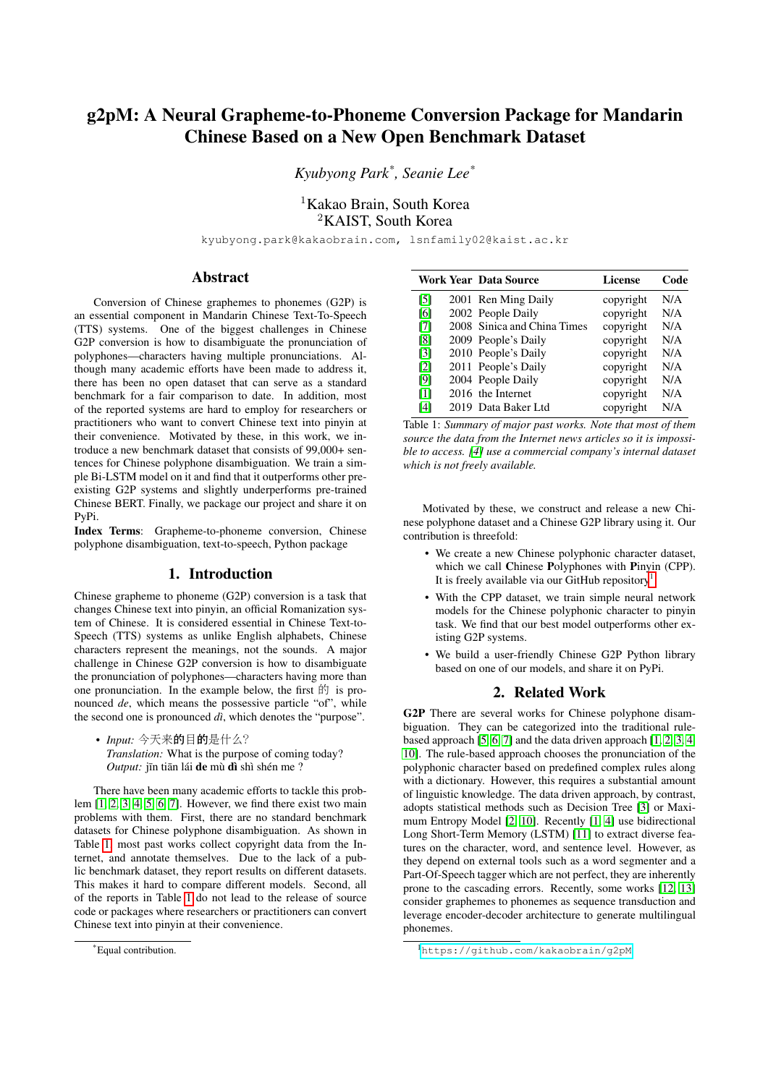# g2pM: A Neural Grapheme-to-Phoneme Conversion Package for Mandarin Chinese Based on a New Open Benchmark Dataset

*Kyubyong Park\* , Seanie Lee\**

<sup>1</sup>Kakao Brain, South Korea <sup>2</sup>KAIST, South Korea

kyubyong.park@kakaobrain.com, lsnfamily02@kaist.ac.kr

## Abstract

Conversion of Chinese graphemes to phonemes (G2P) is an essential component in Mandarin Chinese Text-To-Speech (TTS) systems. One of the biggest challenges in Chinese G2P conversion is how to disambiguate the pronunciation of polyphones—characters having multiple pronunciations. Although many academic efforts have been made to address it, there has been no open dataset that can serve as a standard benchmark for a fair comparison to date. In addition, most of the reported systems are hard to employ for researchers or practitioners who want to convert Chinese text into pinyin at their convenience. Motivated by these, in this work, we introduce a new benchmark dataset that consists of 99,000+ sentences for Chinese polyphone disambiguation. We train a simple Bi-LSTM model on it and find that it outperforms other preexisting G2P systems and slightly underperforms pre-trained Chinese BERT. Finally, we package our project and share it on PyPi.

Index Terms: Grapheme-to-phoneme conversion, Chinese polyphone disambiguation, text-to-speech, Python package

#### 1. Introduction

Chinese grapheme to phoneme (G2P) conversion is a task that changes Chinese text into pinyin, an official Romanization system of Chinese. It is considered essential in Chinese Text-to-Speech (TTS) systems as unlike English alphabets, Chinese characters represent the meanings, not the sounds. A major challenge in Chinese G2P conversion is how to disambiguate the pronunciation of polyphones—characters having more than one pronunciation. In the example below, the first  $\hat{F}$  is pronounced *de*, which means the possessive particle "of", while the second one is pronounced  $di$ , which denotes the "purpose".

• *Input:* <sup>今</sup>天来的目的是什么? *Translation:* What is the purpose of coming today? *Output:* jīn tiān lái de mù dì shì shén me ?

There have been many academic efforts to tackle this problem [\[1,](#page-4-0) [2,](#page-4-1) [3,](#page-4-2) [4,](#page-4-3) [5,](#page-4-4) [6,](#page-4-5) [7\]](#page-4-6). However, we find there exist two main problems with them. First, there are no standard benchmark datasets for Chinese polyphone disambiguation. As shown in Table [1,](#page-0-0) most past works collect copyright data from the Internet, and annotate themselves. Due to the lack of a public benchmark dataset, they report results on different datasets. This makes it hard to compare different models. Second, all of the reports in Table [1](#page-0-0) do not lead to the release of source code or packages where researchers or practitioners can convert Chinese text into pinyin at their convenience.

<span id="page-0-0"></span>

|                   | Work Year Data Source       | License   | Code |
|-------------------|-----------------------------|-----------|------|
| [5]               | 2001 Ren Ming Daily         | copyright | N/A  |
| [6]               | 2002 People Daily           | copyright | N/A  |
| [7]               | 2008 Sinica and China Times | copyright | N/A  |
| [8]               | 2009 People's Daily         | copyright | N/A  |
| $\lceil 3 \rceil$ | 2010 People's Daily         | copyright | N/A  |
| $\lceil 2 \rceil$ | 2011 People's Daily         | copyright | N/A  |
| [9]               | 2004 People Daily           | copyright | N/A  |
| $\lceil 1 \rceil$ | 2016 the Internet           | copyright | N/A  |
| [4]               | 2019 Data Baker Ltd         | copyright | N/A  |

Table 1: *Summary of major past works. Note that most of them source the data from the Internet news articles so it is impossible to access. [\[4\]](#page-4-3) use a commercial company's internal dataset which is not freely available.*

Motivated by these, we construct and release a new Chinese polyphone dataset and a Chinese G2P library using it. Our contribution is threefold:

- We create a new Chinese polyphonic character dataset, which we call Chinese Polyphones with Pinyin (CPP). It is freely available via our GitHub repository<sup>[1](#page-0-1)</sup>.
- With the CPP dataset, we train simple neural network models for the Chinese polyphonic character to pinyin task. We find that our best model outperforms other existing G2P systems.
- We build a user-friendly Chinese G2P Python library based on one of our models, and share it on PyPi.

### 2. Related Work

G2P There are several works for Chinese polyphone disambiguation. They can be categorized into the traditional rulebased approach [\[5,](#page-4-4) [6,](#page-4-5) [7\]](#page-4-6) and the data driven approach [\[1,](#page-4-0) [2,](#page-4-1) [3,](#page-4-2) [4,](#page-4-3) [10\]](#page-4-9). The rule-based approach chooses the pronunciation of the polyphonic character based on predefined complex rules along with a dictionary. However, this requires a substantial amount of linguistic knowledge. The data driven approach, by contrast, adopts statistical methods such as Decision Tree [\[3\]](#page-4-2) or Maximum Entropy Model [\[2,](#page-4-1) [10\]](#page-4-9). Recently [\[1,](#page-4-0) [4\]](#page-4-3) use bidirectional Long Short-Term Memory (LSTM) [\[11\]](#page-4-10) to extract diverse features on the character, word, and sentence level. However, as they depend on external tools such as a word segmenter and a Part-Of-Speech tagger which are not perfect, they are inherently prone to the cascading errors. Recently, some works [\[12,](#page-4-11) [13\]](#page-4-12) consider graphemes to phonemes as sequence transduction and leverage encoder-decoder architecture to generate multilingual phonemes.

<sup>\*</sup>Equal contribution.

<span id="page-0-1"></span><sup>1</sup><https://github.com/kakaobrain/g2pM>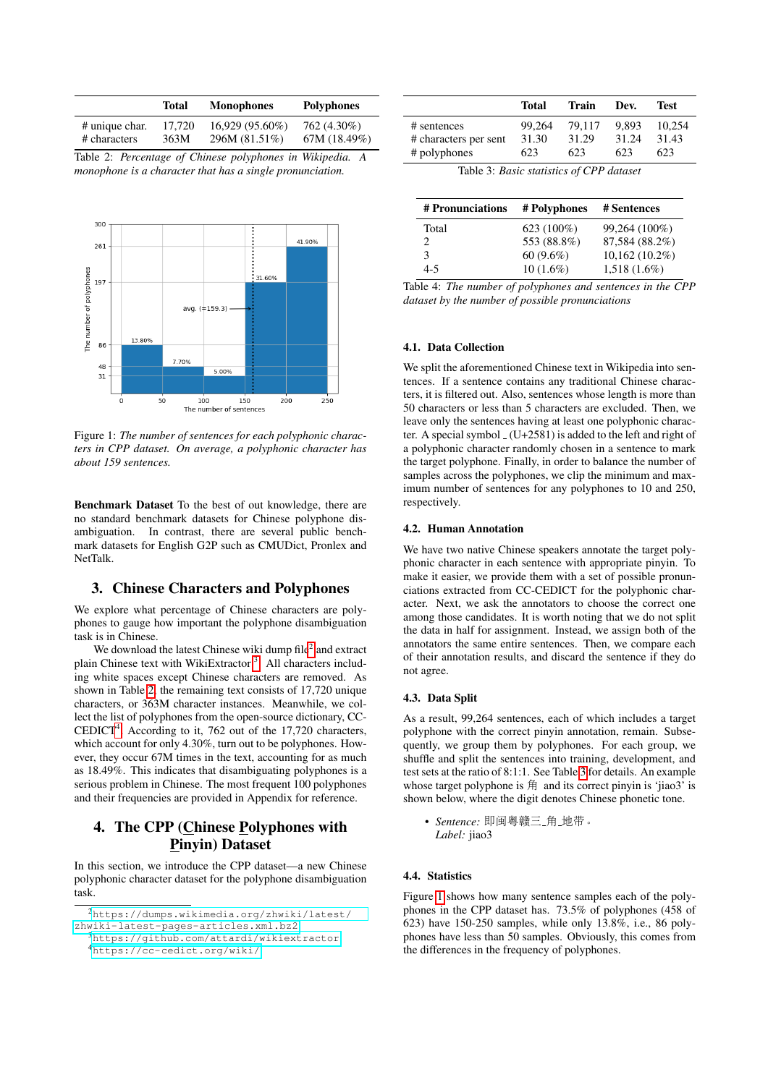<span id="page-1-2"></span>

|                | Total  | <b>Monophones</b> | <b>Polyphones</b> |
|----------------|--------|-------------------|-------------------|
| # unique char. | 17.720 | $16.929(95.60\%)$ | 762 (4.30%)       |
| # characters   | 363M   | 296M (81.51%)     | 67M (18.49%)      |

Table 2: *Percentage of Chinese polyphones in Wikipedia. A monophone is a character that has a single pronunciation.*

<span id="page-1-5"></span>

Figure 1: *The number of sentences for each polyphonic characters in CPP dataset. On average, a polyphonic character has about 159 sentences.*

Benchmark Dataset To the best of out knowledge, there are no standard benchmark datasets for Chinese polyphone disambiguation. In contrast, there are several public benchmark datasets for English G2P such as CMUDict, Pronlex and NetTalk.

#### 3. Chinese Characters and Polyphones

We explore what percentage of Chinese characters are polyphones to gauge how important the polyphone disambiguation task is in Chinese.

We download the latest Chinese wiki dump file $^2$  $^2$  and extract plain Chinese text with WikiExtractor<sup>[3](#page-1-1)</sup>. All characters including white spaces except Chinese characters are removed. As shown in Table [2,](#page-1-2) the remaining text consists of 17,720 unique characters, or 363M character instances. Meanwhile, we collect the list of polyphones from the open-source dictionary, CC- $CEDICT<sup>4</sup>$  $CEDICT<sup>4</sup>$  $CEDICT<sup>4</sup>$ . According to it, 762 out of the 17,720 characters, which account for only 4.30%, turn out to be polyphones. However, they occur 67M times in the text, accounting for as much as 18.49%. This indicates that disambiguating polyphones is a serious problem in Chinese. The most frequent 100 polyphones and their frequencies are provided in Appendix for reference.

## 4. The CPP (Chinese Polyphones with Pinyin) Dataset

In this section, we introduce the CPP dataset—a new Chinese polyphonic character dataset for the polyphone disambiguation task.

<span id="page-1-4"></span>

|                         | Total  | Train  | Dev.  | Test   |
|-------------------------|--------|--------|-------|--------|
| # sentences             | 99.264 | 79.117 | 9.893 | 10.254 |
| # characters per sent   | 31.30  | 31.29  | 31.24 | 31.43  |
| # polyphones            | 623    | 623    | 623   | 623    |
| ___<br>$\sim$<br>$\sim$ | .      |        |       |        |

Table 3: *Basic statistics of CPP dataset*

<span id="page-1-6"></span>

| # Pronunciations | # Polyphones  | # Sentences      |
|------------------|---------------|------------------|
| Total            | 623 $(100\%)$ | 99,264 (100%)    |
| 2                | 553 (88.8%)   | 87,584 (88.2%)   |
| 3                | $60(9.6\%)$   | $10,162(10.2\%)$ |
| 4-5              | $10(1.6\%)$   | $1,518(1.6\%)$   |

Table 4: *The number of polyphones and sentences in the CPP dataset by the number of possible pronunciations*

#### 4.1. Data Collection

We split the aforementioned Chinese text in Wikipedia into sentences. If a sentence contains any traditional Chinese characters, it is filtered out. Also, sentences whose length is more than 50 characters or less than 5 characters are excluded. Then, we leave only the sentences having at least one polyphonic character. A special symbol  $(U+2581)$  is added to the left and right of a polyphonic character randomly chosen in a sentence to mark the target polyphone. Finally, in order to balance the number of samples across the polyphones, we clip the minimum and maximum number of sentences for any polyphones to 10 and 250, respectively.

#### 4.2. Human Annotation

We have two native Chinese speakers annotate the target polyphonic character in each sentence with appropriate pinyin. To make it easier, we provide them with a set of possible pronunciations extracted from CC-CEDICT for the polyphonic character. Next, we ask the annotators to choose the correct one among those candidates. It is worth noting that we do not split the data in half for assignment. Instead, we assign both of the annotators the same entire sentences. Then, we compare each of their annotation results, and discard the sentence if they do not agree.

#### 4.3. Data Split

As a result, 99,264 sentences, each of which includes a target polyphone with the correct pinyin annotation, remain. Subsequently, we group them by polyphones. For each group, we shuffle and split the sentences into training, development, and test sets at the ratio of 8:1:1. See Table [3](#page-1-4) for details. An example whose target polyphone is  $\hat{H}$  and its correct pinyin is 'jiao3' is shown below, where the digit denotes Chinese phonetic tone.

• *Sentence:* 即闽粤赣三 角 地带。 *Label:* jiao3

#### 4.4. Statistics

Figure [1](#page-1-5) shows how many sentence samples each of the polyphones in the CPP dataset has. 73.5% of polyphones (458 of 623) have 150-250 samples, while only 13.8%, i.e., 86 polyphones have less than 50 samples. Obviously, this comes from the differences in the frequency of polyphones.

<span id="page-1-0"></span><sup>2</sup>[https://dumps.wikimedia.org/zhwiki/latest/](https://dumps.wikimedia.org/zhwiki/latest/zhwiki-latest-pages-articles.xml.bz2) [zhwiki-latest-pages-articles.xml.bz2](https://dumps.wikimedia.org/zhwiki/latest/zhwiki-latest-pages-articles.xml.bz2)

<span id="page-1-3"></span><span id="page-1-1"></span><sup>3</sup><https://github.com/attardi/wikiextractor> <sup>4</sup><https://cc-cedict.org/wiki/>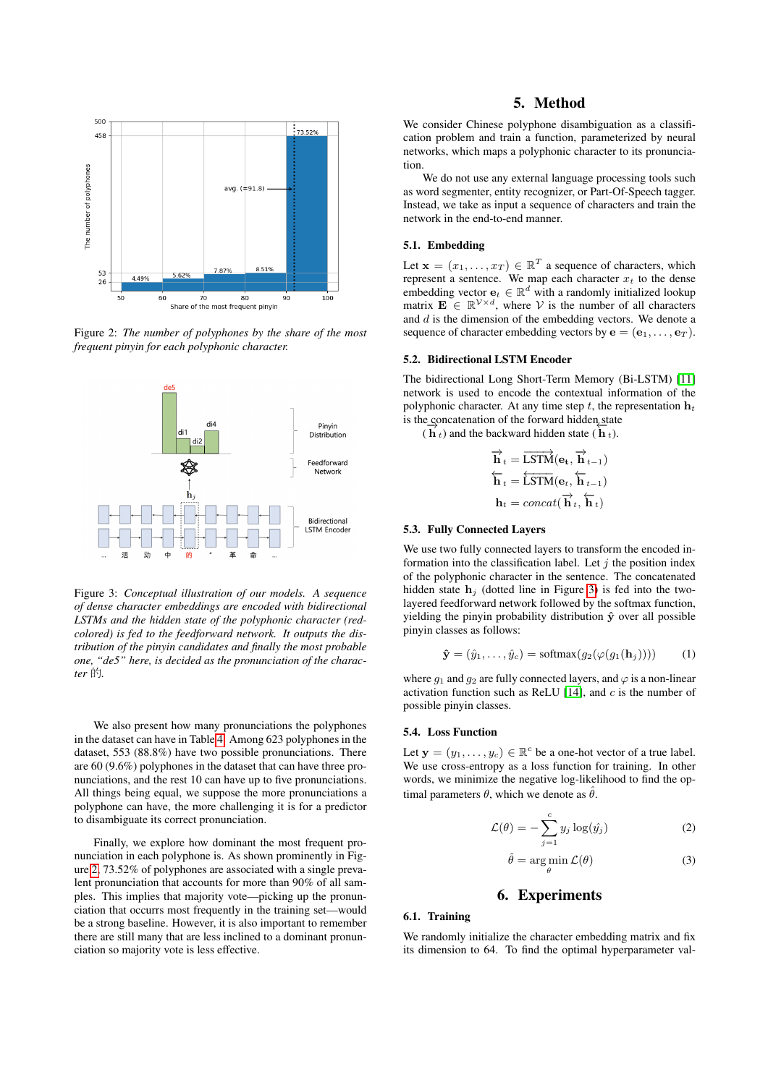<span id="page-2-0"></span>

Figure 2: *The number of polyphones by the share of the most frequent pinyin for each polyphonic character.*

<span id="page-2-1"></span>

Figure 3: *Conceptual illustration of our models. A sequence of dense character embeddings are encoded with bidirectional LSTMs and the hidden state of the polyphonic character (redcolored) is fed to the feedforward network. It outputs the distribution of the pinyin candidates and finally the most probable one, "de5" here, is decided as the pronunciation of the character* 的*.*

We also present how many pronunciations the polyphones in the dataset can have in Table [4.](#page-1-6) Among 623 polyphones in the dataset, 553 (88.8%) have two possible pronunciations. There are 60 (9.6%) polyphones in the dataset that can have three pronunciations, and the rest 10 can have up to five pronunciations. All things being equal, we suppose the more pronunciations a polyphone can have, the more challenging it is for a predictor to disambiguate its correct pronunciation.

Finally, we explore how dominant the most frequent pronunciation in each polyphone is. As shown prominently in Figure [2,](#page-2-0) 73.52% of polyphones are associated with a single prevalent pronunciation that accounts for more than 90% of all samples. This implies that majority vote—picking up the pronunciation that occurrs most frequently in the training set—would be a strong baseline. However, it is also important to remember there are still many that are less inclined to a dominant pronunciation so majority vote is less effective.

## 5. Method

We consider Chinese polyphone disambiguation as a classification problem and train a function, parameterized by neural networks, which maps a polyphonic character to its pronunciation.

We do not use any external language processing tools such as word segmenter, entity recognizer, or Part-Of-Speech tagger. Instead, we take as input a sequence of characters and train the network in the end-to-end manner.

#### 5.1. Embedding

Let  $\mathbf{x} = (x_1, \dots, x_T) \in \mathbb{R}^T$  a sequence of characters, which represent a sentence. We map each character  $x_t$  to the dense embedding vector  $\mathbf{e}_t \in \mathbb{R}^d$  with a randomly initialized lookup matrix  $\mathbf{E} \in \mathbb{R}^{\mathcal{V} \times d}$ , where V is the number of all characters and  $d$  is the dimension of the embedding vectors. We denote a sequence of character embedding vectors by  $e = (e_1, \ldots, e_T)$ .

#### 5.2. Bidirectional LSTM Encoder

The bidirectional Long Short-Term Memory (Bi-LSTM) [\[11\]](#page-4-10) network is used to encode the contextual information of the polyphonic character. At any time step t, the representation  $h_t$ is the concatenation of the forward hidden state

 $\frac{d}{dt}(h_t)$  and the backward hidden state  $(h_t)$ .

$$
\overrightarrow{\mathbf{h}}_t = \overrightarrow{\text{LSTM}}(\mathbf{e}_t, \overrightarrow{\mathbf{h}}_{t-1})
$$
\n
$$
\overleftarrow{\mathbf{h}}_t = \overleftarrow{\text{LSTM}}(\mathbf{e}_t, \overleftarrow{\mathbf{h}}_{t-1})
$$
\n
$$
\mathbf{h}_t = concat(\overrightarrow{\mathbf{h}}_t, \overleftarrow{\mathbf{h}}_t)
$$

#### 5.3. Fully Connected Layers

We use two fully connected layers to transform the encoded information into the classification label. Let  $j$  the position index of the polyphonic character in the sentence. The concatenated hidden state  $h_j$  (dotted line in Figure [3\)](#page-2-1) is fed into the twolayered feedforward network followed by the softmax function, yielding the pinyin probability distribution  $\hat{y}$  over all possible pinyin classes as follows:

$$
\hat{\mathbf{y}} = (\hat{y}_1, \dots, \hat{y}_c) = \text{softmax}(g_2(\varphi(g_1(\mathbf{h}_j)))) \tag{1}
$$

where  $q_1$  and  $q_2$  are fully connected layers, and  $\varphi$  is a non-linear activation function such as ReLU  $[14]$ , and  $c$  is the number of possible pinyin classes.

#### 5.4. Loss Function

Let  $\mathbf{y} = (y_1, \dots, y_c) \in \mathbb{R}^c$  be a one-hot vector of a true label. We use cross-entropy as a loss function for training. In other words, we minimize the negative log-likelihood to find the optimal parameters  $\theta$ , which we denote as  $\hat{\theta}$ .

$$
\mathcal{L}(\theta) = -\sum_{j=1}^{c} y_j \log(\hat{y_j})
$$
 (2)

$$
\hat{\theta} = \arg\min_{\theta} \mathcal{L}(\theta) \tag{3}
$$

## 6. Experiments

### 6.1. Training

We randomly initialize the character embedding matrix and fix its dimension to 64. To find the optimal hyperparameter val-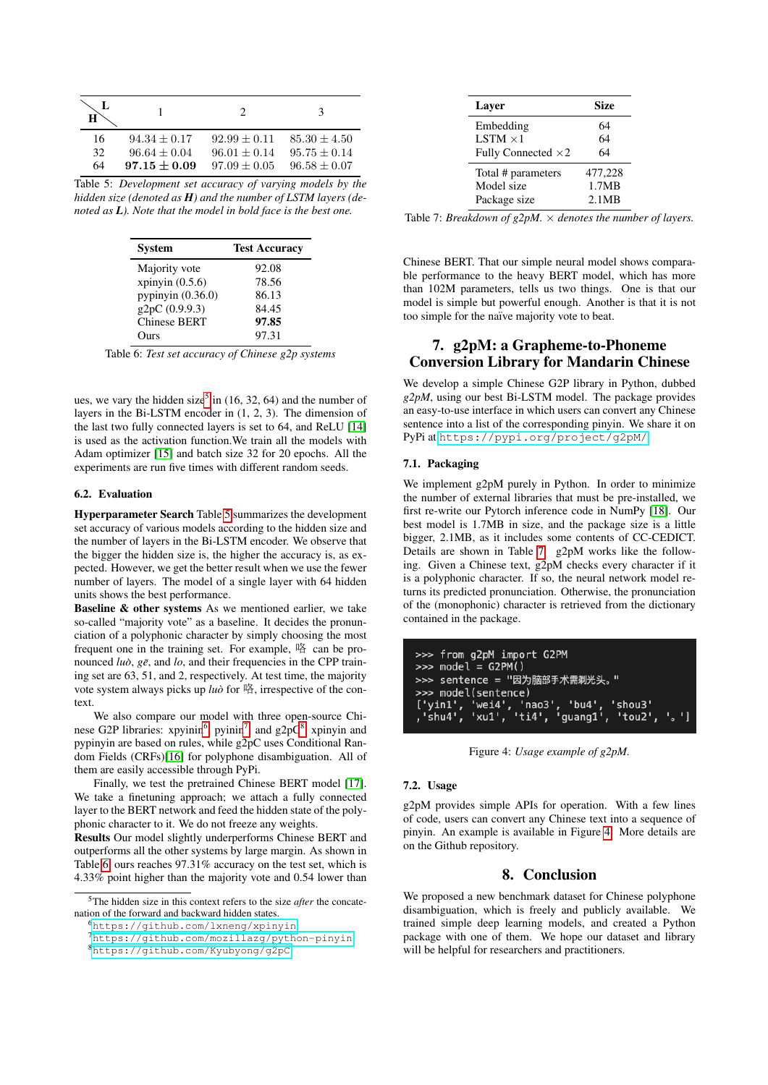<span id="page-3-1"></span>

| L<br>Н |                |                  | $\mathcal{R}$    |
|--------|----------------|------------------|------------------|
| 16     | $94.34 + 0.17$ | $92.99 + 0.11$   | $85.30 \pm 4.50$ |
| 32     | $96.64 + 0.04$ | $96.01 + 0.14$   | $95.75 + 0.14$   |
| 64     | $97.15 + 0.09$ | $97.09 \pm 0.05$ | $96.58 + 0.07$   |

<span id="page-3-5"></span>Table 5: *Development set accuracy of varying models by the hidden size (denoted as H) and the number of LSTM layers (denoted as L). Note that the model in bold face is the best one.*

| <b>System</b>       | <b>Test Accuracy</b> |
|---------------------|----------------------|
| Majority vote       | 92.08                |
| xpinyin $(0.5.6)$   | 78.56                |
| pypinyin $(0.36.0)$ | 86.13                |
| g2pC (0.9.9.3)      | 84.45                |
| <b>Chinese BERT</b> | 97.85                |
| Ours                | 97.31                |

Table 6: *Test set accuracy of Chinese g2p systems*

ues, we vary the hidden size<sup>[5](#page-3-0)</sup> in  $(16, 32, 64)$  and the number of layers in the Bi-LSTM encoder in (1, 2, 3). The dimension of the last two fully connected layers is set to 64, and ReLU [\[14\]](#page-4-13) is used as the activation function.We train all the models with Adam optimizer [\[15\]](#page-4-14) and batch size 32 for 20 epochs. All the experiments are run five times with different random seeds.

#### 6.2. Evaluation

Hyperparameter Search Table [5](#page-3-1) summarizes the development set accuracy of various models according to the hidden size and the number of layers in the Bi-LSTM encoder. We observe that the bigger the hidden size is, the higher the accuracy is, as expected. However, we get the better result when we use the fewer number of layers. The model of a single layer with 64 hidden units shows the best performance.

Baseline & other systems As we mentioned earlier, we take so-called "majority vote" as a baseline. It decides the pronunciation of a polyphonic character by simply choosing the most frequent one in the training set. For example, 咯 can be pronounced *luò*, gē, and *lo*, and their frequencies in the CPP training set are 63, 51, and 2, respectively. At test time, the majority vote system always picks up *luo`* for 咯, irrespective of the context.

We also compare our model with three open-source Chi-nese G2P libraries: xpyinin<sup>[6](#page-3-2)</sup>, pyinin<sup>[7](#page-3-3)</sup>, and  $g2pC<sup>8</sup>$  $g2pC<sup>8</sup>$  $g2pC<sup>8</sup>$ . xpinyin and pypinyin are based on rules, while g2pC uses Conditional Random Fields (CRFs)[\[16\]](#page-4-15) for polyphone disambiguation. All of them are easily accessible through PyPi.

Finally, we test the pretrained Chinese BERT model [\[17\]](#page-4-16). We take a finetuning approach; we attach a fully connected layer to the BERT network and feed the hidden state of the polyphonic character to it. We do not freeze any weights.

Results Our model slightly underperforms Chinese BERT and outperforms all the other systems by large margin. As shown in Table [6,](#page-3-5) ours reaches 97.31% accuracy on the test set, which is 4.33% point higher than the majority vote and 0.54 lower than

<span id="page-3-6"></span>

| Laver                      | Size    |
|----------------------------|---------|
| Embedding                  | 64      |
| $LSTM \times 1$            | 64      |
| Fully Connected $\times 2$ | 64      |
| Total # parameters         | 477,228 |
| Model size                 | 1.7MB   |
| Package size               | 2.1MB   |

Table 7: *Breakdown of g2pM.*  $\times$  *denotes the number of layers.* 

Chinese BERT. That our simple neural model shows comparable performance to the heavy BERT model, which has more than 102M parameters, tells us two things. One is that our model is simple but powerful enough. Another is that it is not too simple for the naïve majority vote to beat.

## 7. g2pM: a Grapheme-to-Phoneme Conversion Library for Mandarin Chinese

We develop a simple Chinese G2P library in Python, dubbed *g2pM*, using our best Bi-LSTM model. The package provides an easy-to-use interface in which users can convert any Chinese sentence into a list of the corresponding pinyin. We share it on PyPi at <https://pypi.org/project/g2pM/>.

#### 7.1. Packaging

We implement g2pM purely in Python. In order to minimize the number of external libraries that must be pre-installed, we first re-write our Pytorch inference code in NumPy [\[18\]](#page-4-17). Our best model is 1.7MB in size, and the package size is a little bigger, 2.1MB, as it includes some contents of CC-CEDICT. Details are shown in Table [7.](#page-3-6) g2pM works like the following. Given a Chinese text, g2pM checks every character if it is a polyphonic character. If so, the neural network model returns its predicted pronunciation. Otherwise, the pronunciation of the (monophonic) character is retrieved from the dictionary contained in the package.

<span id="page-3-7"></span>

| >>> from g2pM import G2PM<br>$\Rightarrow$ model = G2PM()      |
|----------------------------------------------------------------|
| >>> sentence = "因为脑部手术需剃光头。"                                   |
| >>> model(sentence)<br>['yin1', 'wei4', 'nao3', 'bu4', 'shou3' |
| ,'shu4', 'xu1', 'ti4', 'quanq1', 'tou2', '。']                  |

Figure 4: *Usage example of g2pM.*

#### 7.2. Usage

g2pM provides simple APIs for operation. With a few lines of code, users can convert any Chinese text into a sequence of pinyin. An example is available in Figure [4.](#page-3-7) More details are on the Github repository.

#### 8. Conclusion

We proposed a new benchmark dataset for Chinese polyphone disambiguation, which is freely and publicly available. We trained simple deep learning models, and created a Python package with one of them. We hope our dataset and library will be helpful for researchers and practitioners.

<span id="page-3-0"></span><sup>5</sup>The hidden size in this context refers to the size *after* the concatenation of the forward and backward hidden states.

<span id="page-3-2"></span><sup>6</sup><https://github.com/lxneng/xpinyin>

<span id="page-3-3"></span><sup>7</sup><https://github.com/mozillazg/python-pinyin>

<span id="page-3-4"></span><sup>8</sup><https://github.com/Kyubyong/g2pC>